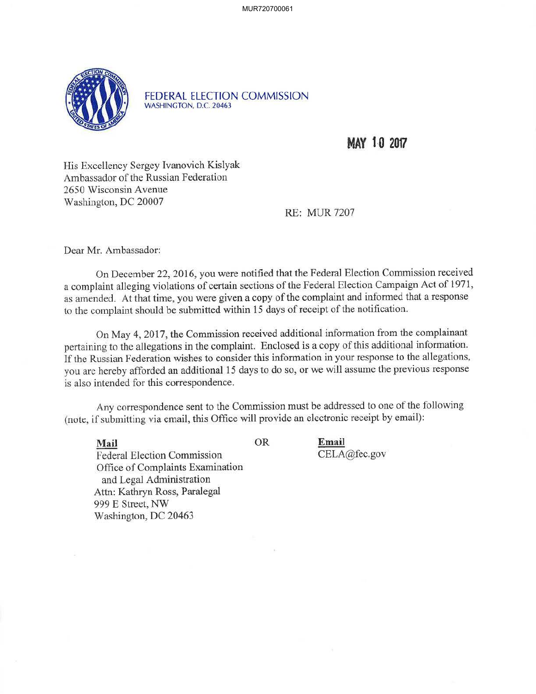MUR720700061



FEDERAL ELECTION COMMISSION WASHINGTON, D.C. 20463

**MAY 10 2017** 

His Excellency Sergey Ivanovich Kislyak Ambassador of the Russian Federation 2650 Wisconsin A venue Washington, DC 20007

RE: MUR 7207

Dear Mr. Ambassador:

On December 22, 2016, you were notified that the Federal Election Commission received a complaint alleging violations of certain sections of the Federal Election Campaign Act of 1971, as amended. At that time, you were given a copy of the complaint and informed that a response to the complaint should be submitted within 15 days of receipt of the notification.

On May 4, 2017, the Commission received additional information from the complainant pertaining to the allegations in the complaint. Enclosed is a copy of this additional information. If the Russian Federation wishes to consider this information in your response to the allegations, you are hereby afforded an additional 15 days to do so, or we will assume the previous response is also intended for this correspondence.

Any correspondence sent to the Commission must be addressed to one of the following (note, if submitting via email, this Office will provide an electronic receipt by email):

**Email** 

CELA@fec.gov

**Mail** OR Federal Election Commission Office of Complaints Examination and Legal Administration Attn: Kathryn Ross, Paralegal 999 E Street, NW Washington, DC 20463